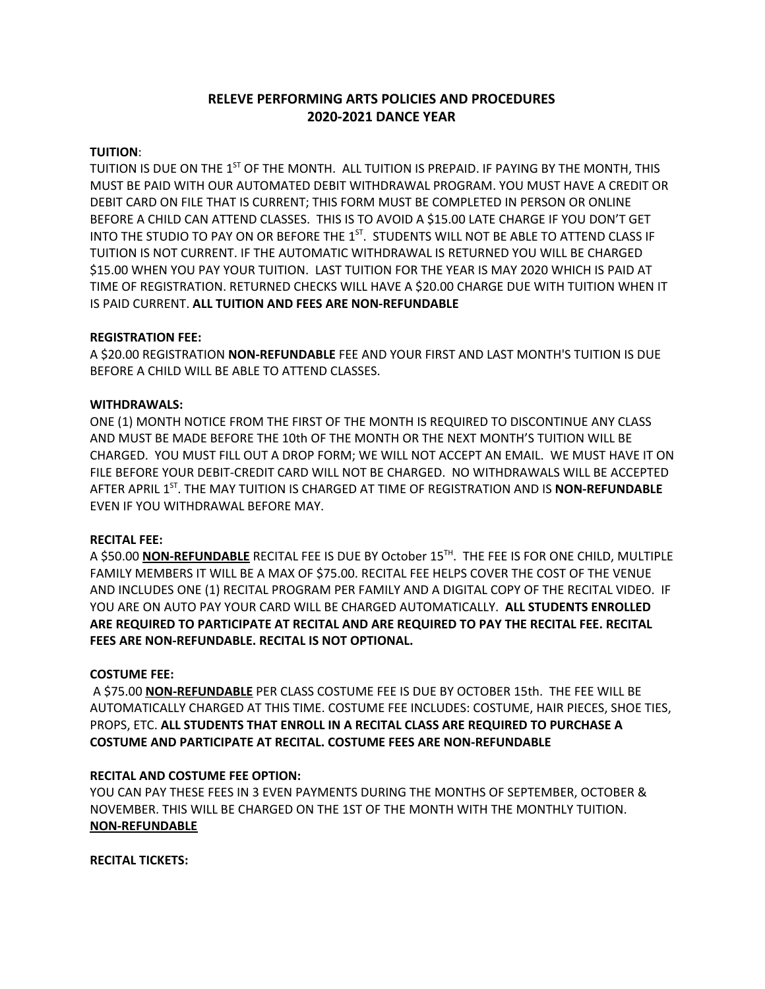# **RELEVE PERFORMING ARTS POLICIES AND PROCEDURES 2020-2021 DANCE YEAR**

## **TUITION**:

TUITION IS DUE ON THE  $1^\mathrm{ST}$  OF THE MONTH. ALL TUITION IS PREPAID. IF PAYING BY THE MONTH, THIS MUST BE PAID WITH OUR AUTOMATED DEBIT WITHDRAWAL PROGRAM. YOU MUST HAVE A CREDIT OR DEBIT CARD ON FILE THAT IS CURRENT; THIS FORM MUST BE COMPLETED IN PERSON OR ONLINE BEFORE A CHILD CAN ATTEND CLASSES. THIS IS TO AVOID A \$15.00 LATE CHARGE IF YOU DON'T GET INTO THE STUDIO TO PAY ON OR BEFORE THE  $1^{ST}$ . STUDENTS WILL NOT BE ABLE TO ATTEND CLASS IF TUITION IS NOT CURRENT. IF THE AUTOMATIC WITHDRAWAL IS RETURNED YOU WILL BE CHARGED \$15.00 WHEN YOU PAY YOUR TUITION. LAST TUITION FOR THE YEAR IS MAY 2020 WHICH IS PAID AT TIME OF REGISTRATION. RETURNED CHECKS WILL HAVE A \$20.00 CHARGE DUE WITH TUITION WHEN IT IS PAID CURRENT. **ALL TUITION AND FEES ARE NON-REFUNDABLE**

## **REGISTRATION FEE:**

A \$20.00 REGISTRATION **NON-REFUNDABLE** FEE AND YOUR FIRST AND LAST MONTH'S TUITION IS DUE BEFORE A CHILD WILL BE ABLE TO ATTEND CLASSES.

### **WITHDRAWALS:**

ONE (1) MONTH NOTICE FROM THE FIRST OF THE MONTH IS REQUIRED TO DISCONTINUE ANY CLASS AND MUST BE MADE BEFORE THE 10th OF THE MONTH OR THE NEXT MONTH'S TUITION WILL BE CHARGED. YOU MUST FILL OUT A DROP FORM; WE WILL NOT ACCEPT AN EMAIL. WE MUST HAVE IT ON FILE BEFORE YOUR DEBIT-CREDIT CARD WILL NOT BE CHARGED. NO WITHDRAWALS WILL BE ACCEPTED AFTER APRIL 1 ST . THE MAY TUITION IS CHARGED AT TIME OF REGISTRATION AND IS **NON-REFUNDABLE** EVEN IF YOU WITHDRAWAL BEFORE MAY.

## **RECITAL FEE:**

A \$50.00 **NON-REFUNDABLE** RECITAL FEE IS DUE BY October 15 TH . THE FEE IS FOR ONE CHILD, MULTIPLE FAMILY MEMBERS IT WILL BE A MAX OF \$75.00. RECITAL FEE HELPS COVER THE COST OF THE VENUE AND INCLUDES ONE (1) RECITAL PROGRAM PER FAMILY AND A DIGITAL COPY OF THE RECITAL VIDEO. IF YOU ARE ON AUTO PAY YOUR CARD WILL BE CHARGED AUTOMATICALLY. **ALL STUDENTS ENROLLED ARE REQUIRED TO PARTICIPATE AT RECITAL AND ARE REQUIRED TO PAY THE RECITAL FEE. RECITAL FEES ARE NON-REFUNDABLE. RECITAL IS NOT OPTIONAL.**

#### **COSTUME FEE:**

A \$75.00 **NON-REFUNDABLE** PER CLASS COSTUME FEE IS DUE BY OCTOBER 15th. THE FEE WILL BE AUTOMATICALLY CHARGED AT THIS TIME. COSTUME FEE INCLUDES: COSTUME, HAIR PIECES, SHOE TIES, PROPS, ETC. **ALL STUDENTS THAT ENROLL IN A RECITAL CLASS ARE REQUIRED TO PURCHASE A COSTUME AND PARTICIPATE AT RECITAL. COSTUME FEES ARE NON-REFUNDABLE**

## **RECITAL AND COSTUME FEE OPTION:**

YOU CAN PAY THESE FEES IN 3 EVEN PAYMENTS DURING THE MONTHS OF SEPTEMBER, OCTOBER & NOVEMBER. THIS WILL BE CHARGED ON THE 1ST OF THE MONTH WITH THE MONTHLY TUITION. **NON-REFUNDABLE**

**RECITAL TICKETS:**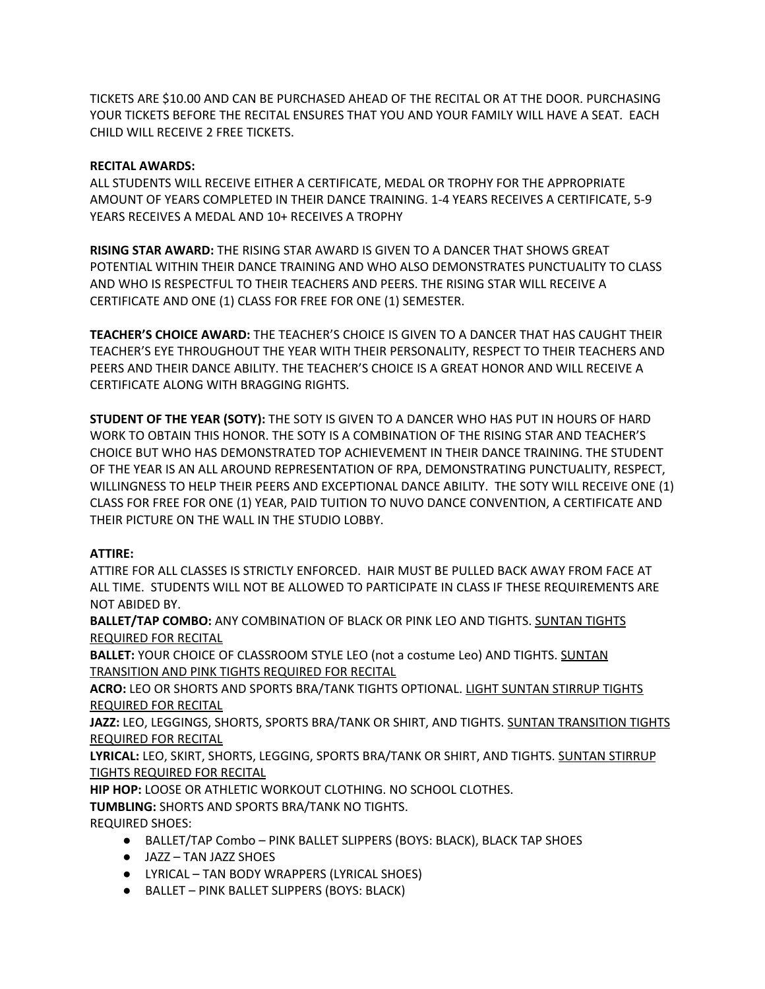TICKETS ARE \$10.00 AND CAN BE PURCHASED AHEAD OF THE RECITAL OR AT THE DOOR. PURCHASING YOUR TICKETS BEFORE THE RECITAL ENSURES THAT YOU AND YOUR FAMILY WILL HAVE A SEAT. EACH CHILD WILL RECEIVE 2 FREE TICKETS.

## **RECITAL AWARDS:**

ALL STUDENTS WILL RECEIVE EITHER A CERTIFICATE, MEDAL OR TROPHY FOR THE APPROPRIATE AMOUNT OF YEARS COMPLETED IN THEIR DANCE TRAINING. 1-4 YEARS RECEIVES A CERTIFICATE, 5-9 YEARS RECEIVES A MEDAL AND 10+ RECEIVES A TROPHY

**RISING STAR AWARD:** THE RISING STAR AWARD IS GIVEN TO A DANCER THAT SHOWS GREAT POTENTIAL WITHIN THEIR DANCE TRAINING AND WHO ALSO DEMONSTRATES PUNCTUALITY TO CLASS AND WHO IS RESPECTFUL TO THEIR TEACHERS AND PEERS. THE RISING STAR WILL RECEIVE A CERTIFICATE AND ONE (1) CLASS FOR FREE FOR ONE (1) SEMESTER.

**TEACHER'S CHOICE AWARD:** THE TEACHER'S CHOICE IS GIVEN TO A DANCER THAT HAS CAUGHT THEIR TEACHER'S EYE THROUGHOUT THE YEAR WITH THEIR PERSONALITY, RESPECT TO THEIR TEACHERS AND PEERS AND THEIR DANCE ABILITY. THE TEACHER'S CHOICE IS A GREAT HONOR AND WILL RECEIVE A CERTIFICATE ALONG WITH BRAGGING RIGHTS.

**STUDENT OF THE YEAR (SOTY):** THE SOTY IS GIVEN TO A DANCER WHO HAS PUT IN HOURS OF HARD WORK TO OBTAIN THIS HONOR. THE SOTY IS A COMBINATION OF THE RISING STAR AND TEACHER'S CHOICE BUT WHO HAS DEMONSTRATED TOP ACHIEVEMENT IN THEIR DANCE TRAINING. THE STUDENT OF THE YEAR IS AN ALL AROUND REPRESENTATION OF RPA, DEMONSTRATING PUNCTUALITY, RESPECT, WILLINGNESS TO HELP THEIR PEERS AND EXCEPTIONAL DANCE ABILITY. THE SOTY WILL RECEIVE ONE (1) CLASS FOR FREE FOR ONE (1) YEAR, PAID TUITION TO NUVO DANCE CONVENTION, A CERTIFICATE AND THEIR PICTURE ON THE WALL IN THE STUDIO LOBBY.

## **ATTIRE:**

ATTIRE FOR ALL CLASSES IS STRICTLY ENFORCED. HAIR MUST BE PULLED BACK AWAY FROM FACE AT ALL TIME. STUDENTS WILL NOT BE ALLOWED TO PARTICIPATE IN CLASS IF THESE REQUIREMENTS ARE NOT ABIDED BY.

**BALLET/TAP COMBO:** ANY COMBINATION OF BLACK OR PINK LEO AND TIGHTS. SUNTAN TIGHTS REQUIRED FOR RECITAL

**BALLET:** YOUR CHOICE OF CLASSROOM STYLE LEO (not a costume Leo) AND TIGHTS. SUNTAN TRANSITION AND PINK TIGHTS REQUIRED FOR RECITAL

**ACRO:** LEO OR SHORTS AND SPORTS BRA/TANK TIGHTS OPTIONAL. LIGHT SUNTAN STIRRUP TIGHTS REQUIRED FOR RECITAL

**JAZZ:** LEO, LEGGINGS, SHORTS, SPORTS BRA/TANK OR SHIRT, AND TIGHTS. SUNTAN TRANSITION TIGHTS REQUIRED FOR RECITAL

**LYRICAL:** LEO, SKIRT, SHORTS, LEGGING, SPORTS BRA/TANK OR SHIRT, AND TIGHTS. SUNTAN STIRRUP TIGHTS REQUIRED FOR RECITAL

**HIP HOP:** LOOSE OR ATHLETIC WORKOUT CLOTHING. NO SCHOOL CLOTHES.

**TUMBLING:** SHORTS AND SPORTS BRA/TANK NO TIGHTS.

REQUIRED SHOES:

- BALLET/TAP Combo PINK BALLET SLIPPERS (BOYS: BLACK), BLACK TAP SHOES
- JAZZ TAN JAZZ SHOES
- LYRICAL TAN BODY WRAPPERS (LYRICAL SHOES)
- BALLET PINK BALLET SLIPPERS (BOYS: BLACK)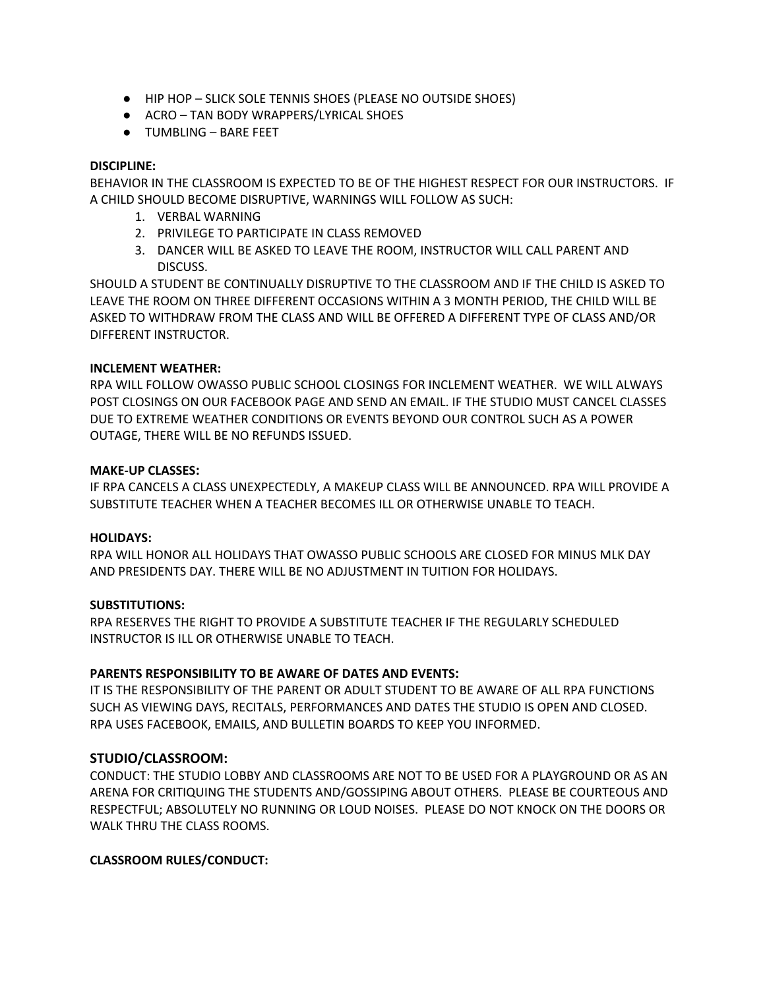- HIP HOP SLICK SOLE TENNIS SHOES (PLEASE NO OUTSIDE SHOES)
- ACRO TAN BODY WRAPPERS/LYRICAL SHOES
- TUMBLING BARE FEET

## **DISCIPLINE:**

BEHAVIOR IN THE CLASSROOM IS EXPECTED TO BE OF THE HIGHEST RESPECT FOR OUR INSTRUCTORS. IF A CHILD SHOULD BECOME DISRUPTIVE, WARNINGS WILL FOLLOW AS SUCH:

- 1. VERBAL WARNING
- 2. PRIVILEGE TO PARTICIPATE IN CLASS REMOVED
- 3. DANCER WILL BE ASKED TO LEAVE THE ROOM, INSTRUCTOR WILL CALL PARENT AND DISCUSS.

SHOULD A STUDENT BE CONTINUALLY DISRUPTIVE TO THE CLASSROOM AND IF THE CHILD IS ASKED TO LEAVE THE ROOM ON THREE DIFFERENT OCCASIONS WITHIN A 3 MONTH PERIOD, THE CHILD WILL BE ASKED TO WITHDRAW FROM THE CLASS AND WILL BE OFFERED A DIFFERENT TYPE OF CLASS AND/OR DIFFERENT INSTRUCTOR.

### **INCLEMENT WEATHER:**

RPA WILL FOLLOW OWASSO PUBLIC SCHOOL CLOSINGS FOR INCLEMENT WEATHER. WE WILL ALWAYS POST CLOSINGS ON OUR FACEBOOK PAGE AND SEND AN EMAIL. IF THE STUDIO MUST CANCEL CLASSES DUE TO EXTREME WEATHER CONDITIONS OR EVENTS BEYOND OUR CONTROL SUCH AS A POWER OUTAGE, THERE WILL BE NO REFUNDS ISSUED.

### **MAKE-UP CLASSES:**

IF RPA CANCELS A CLASS UNEXPECTEDLY, A MAKEUP CLASS WILL BE ANNOUNCED. RPA WILL PROVIDE A SUBSTITUTE TEACHER WHEN A TEACHER BECOMES ILL OR OTHERWISE UNABLE TO TEACH.

## **HOLIDAYS:**

RPA WILL HONOR ALL HOLIDAYS THAT OWASSO PUBLIC SCHOOLS ARE CLOSED FOR MINUS MLK DAY AND PRESIDENTS DAY. THERE WILL BE NO ADJUSTMENT IN TUITION FOR HOLIDAYS.

## **SUBSTITUTIONS:**

RPA RESERVES THE RIGHT TO PROVIDE A SUBSTITUTE TEACHER IF THE REGULARLY SCHEDULED INSTRUCTOR IS ILL OR OTHERWISE UNABLE TO TEACH.

## **PARENTS RESPONSIBILITY TO BE AWARE OF DATES AND EVENTS:**

IT IS THE RESPONSIBILITY OF THE PARENT OR ADULT STUDENT TO BE AWARE OF ALL RPA FUNCTIONS SUCH AS VIEWING DAYS, RECITALS, PERFORMANCES AND DATES THE STUDIO IS OPEN AND CLOSED. RPA USES FACEBOOK, EMAILS, AND BULLETIN BOARDS TO KEEP YOU INFORMED.

## **STUDIO/CLASSROOM:**

CONDUCT: THE STUDIO LOBBY AND CLASSROOMS ARE NOT TO BE USED FOR A PLAYGROUND OR AS AN ARENA FOR CRITIQUING THE STUDENTS AND/GOSSIPING ABOUT OTHERS. PLEASE BE COURTEOUS AND RESPECTFUL; ABSOLUTELY NO RUNNING OR LOUD NOISES. PLEASE DO NOT KNOCK ON THE DOORS OR WALK THRU THE CLASS ROOMS.

## **CLASSROOM RULES/CONDUCT:**